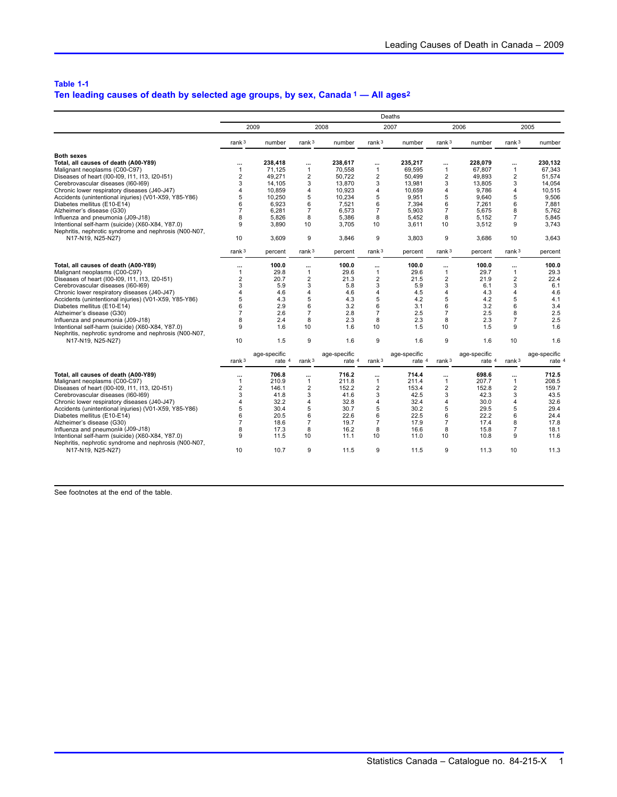## **Table 1-1**

# **Ten leading causes of death by selected age groups, by sex, Canada 1 — All ages2**

|                                                       | Deaths            |              |                |              |                  |              |                         |              |                   |              |
|-------------------------------------------------------|-------------------|--------------|----------------|--------------|------------------|--------------|-------------------------|--------------|-------------------|--------------|
|                                                       | 2009              |              | 2008           |              | 2007             |              | 2006                    |              |                   | 2005         |
|                                                       | rank $3$          | number       | rank $3$       | number       | rank $3$         | number       | rank $3$                | number       | rank $3$          | number       |
| <b>Both sexes</b>                                     |                   |              |                |              |                  |              |                         |              |                   |              |
| Total, all causes of death (A00-Y89)                  | $\cdots$          | 238.418      | $\cdots$       | 238.617      | $\cdots$         | 235.217      | $\cdots$                | 228,079      | $\cdots$          | 230,132      |
| Malignant neoplasms (C00-C97)                         | $\mathbf{1}$      | 71,125       | $\mathbf{1}$   | 70,558       | $\mathbf{1}$     | 69,595       | $\mathbf{1}$            | 67,807       | $\mathbf{1}$      | 67,343       |
| Diseases of heart (100-109, 111, 113, 120-151)        | $\overline{2}$    | 49.271       | $\overline{2}$ | 50.722       | $\overline{2}$   | 50.499       | $\overline{2}$          | 49.893       | $\overline{2}$    | 51.574       |
| Cerebrovascular diseases (I60-I69)                    | 3                 | 14.105       | 3              | 13,870       | 3                | 13.981       | 3                       | 13.805       | 3                 | 14.054       |
| Chronic lower respiratory diseases (J40-J47)          | 4                 | 10.859       | 4              | 10.923       | 4                | 10.659       | 4                       | 9.786        | 4                 | 10.515       |
| Accidents (unintentional injuries) (V01-X59, Y85-Y86) | 5                 | 10.250       | 5              | 10.234       | 5                | 9.951        | 5                       | 9.640        | 5                 | 9.506        |
| Diabetes mellitus (E10-E14)                           | 6                 | 6.923        | 6              | 7,521        | 6                | 7,394        | 6                       | 7,261        | 6                 | 7,881        |
| Alzheimer's disease (G30)                             | $\overline{7}$    | 6.281        | $\overline{7}$ | 6.573        | $\overline{7}$   | 5.903        | $\overline{7}$          | 5.675        | 8                 | 5.762        |
| Influenza and pneumonia (J09-J18)                     | 8                 | 5.826        | 8              | 5.386        | 8                | 5.452        | 8                       | 5,152        | $\overline{7}$    | 5.845        |
| Intentional self-harm (suicide) (X60-X84, Y87.0)      | 9                 | 3,890        | 10             | 3,705        | 10 <sup>10</sup> | 3,611        | 10                      | 3,512        | 9                 | 3,743        |
| Nephritis, nephrotic syndrome and nephrosis (N00-N07, |                   |              |                |              |                  |              |                         |              |                   |              |
| N17-N19, N25-N27)                                     | 10                | 3.609        | 9              | 3.846        | 9                | 3.803        | 9                       | 3.686        | 10                | 3.643        |
|                                                       | rank <sup>3</sup> | percent      | rank $3$       | percent      | rank $3$         | percent      | rank $3$                | percent      | rank <sup>3</sup> | percent      |
| Total, all causes of death (A00-Y89)                  | $\cdots$          | 100.0        | $\cdots$       | 100.0        | $\cdots$         | 100.0        | $\cdots$                | 100.0        |                   | 100.0        |
| Malignant neoplasms (C00-C97)                         | 1                 | 29.8         | $\mathbf{1}$   | 29.6         | $\mathbf{1}$     | 29.6         | $\mathbf{1}$            | 29.7         | $\mathbf{1}$      | 29.3         |
| Diseases of heart (100-109, 111, 113, 120-151)        | $\overline{2}$    | 20.7         | $\overline{2}$ | 21.3         | $\overline{2}$   | 21.5         | $\overline{2}$          | 21.9         | $\overline{2}$    | 22.4         |
| Cerebrovascular diseases (I60-I69)                    | 3                 | 5.9          | 3              | 5.8          | 3                | 5.9          | 3                       | 6.1          | 3                 | 6.1          |
| Chronic lower respiratory diseases (J40-J47)          | 4                 | 4.6          | $\overline{4}$ | 4.6          | $\overline{4}$   | 4.5          | $\overline{\mathbf{4}}$ | 4.3          | 4                 | 4.6          |
| Accidents (unintentional injuries) (V01-X59, Y85-Y86) | 5                 | 4.3          | 5              | 4.3          | 5                | 4.2          | 5                       | 4.2          | 5                 | 4.1          |
| Diabetes mellitus (E10-E14)                           | 6                 | 2.9          | 6              | 3.2          | 6                | 3.1          | 6                       | 3.2          | 6                 | 3.4          |
| Alzheimer's disease (G30)                             | $\overline{7}$    | 2.6          | $\overline{7}$ | 2.8          | $\overline{7}$   | 2.5          | $\overline{7}$          | 2.5          | 8                 | 2.5          |
| Influenza and pneumonia (J09-J18)                     | 8                 | 2.4          | 8              | 2.3          | 8                | 2.3          | 8                       | 2.3          | $\overline{7}$    | 2.5          |
| Intentional self-harm (suicide) (X60-X84, Y87.0)      | 9                 | 1.6          | 10             | 1.6          | 10               | 1.5          | 10                      | 1.5          | 9                 | 1.6          |
| Nephritis, nephrotic syndrome and nephrosis (N00-N07, |                   |              |                |              |                  |              |                         |              |                   |              |
| N17-N19, N25-N27)                                     | 10                | 1.5          | 9              | 1.6          | 9                | 1.6          | 9                       | 1.6          | 10                | 1.6          |
|                                                       |                   | age-specific |                | age-specific |                  | age-specific |                         | age-specific |                   | age-specific |
|                                                       | rank $3$          | rate 4       | rank $3$       | rate 4       | rank $3$         | rate 4       | rank $3$                | rate 4       | rank $3$          | rate 4       |
| Total, all causes of death (A00-Y89)                  | $\cdots$          | 706.8        |                | 716.2        |                  | 714.4        |                         | 698.6        |                   | 712.5        |
| Malignant neoplasms (C00-C97)                         | 1                 | 210.9        | $\mathbf{1}$   | 211.8        | $\mathbf{1}$     | 211.4        | $\mathbf{1}$            | 207.7        | $\mathbf{1}$      | 208.5        |
| Diseases of heart (100-109, 111, 113, 120-151)        | $\overline{2}$    | 146.1        | $\overline{2}$ | 152.2        | $\overline{2}$   | 153.4        | $\overline{2}$          | 152.8        | $\overline{2}$    | 159.7        |
| Cerebrovascular diseases (I60-I69)                    | 3                 | 41.8         | 3              | 41.6         | 3                | 42.5         | 3                       | 42.3         | 3                 | 43.5         |
| Chronic lower respiratory diseases (J40-J47)          | 4                 | 32.2         | 4              | 32.8         | 4                | 32.4         | $\overline{4}$          | 30.0         | 4                 | 32.6         |
| Accidents (unintentional injuries) (V01-X59, Y85-Y86) | 5                 | 30.4         | 5              | 30.7         | 5                | 30.2         | 5                       | 29.5         | 5                 | 29.4         |
| Diabetes mellitus (E10-E14)                           | 6                 | 20.5         | 6              | 22.6         | 6                | 22.5         | 6                       | 22.2         | 6                 | 24.4         |
| Alzheimer's disease (G30)                             | 7                 | 18.6         | $\overline{7}$ | 19.7         | $\overline{7}$   | 17.9         | $\overline{7}$          | 17.4         | 8                 | 17.8         |
| Influenza and pneumonia (J09-J18)                     |                   | 17.3         | 8              | 16.2         | 8                | 16.6         | 8                       | 15.8         | $\overline{7}$    | 18.1         |
| Intentional self-harm (suicide) (X60-X84, Y87.0)      | 9                 | 11.5         | 10             | 11.1         | 10               | 11.0         | 10                      | 10.8         | 9                 | 11.6         |
| Nephritis, nephrotic syndrome and nephrosis (N00-N07, |                   |              |                |              |                  |              |                         |              |                   |              |
| N17-N19, N25-N27)                                     | 10                | 10.7         | 9              | 11.5         | 9                | 11.5         | 9                       | 11.3         | 10                | 11.3         |
|                                                       |                   |              |                |              |                  |              |                         |              |                   |              |

See footnotes at the end of the table.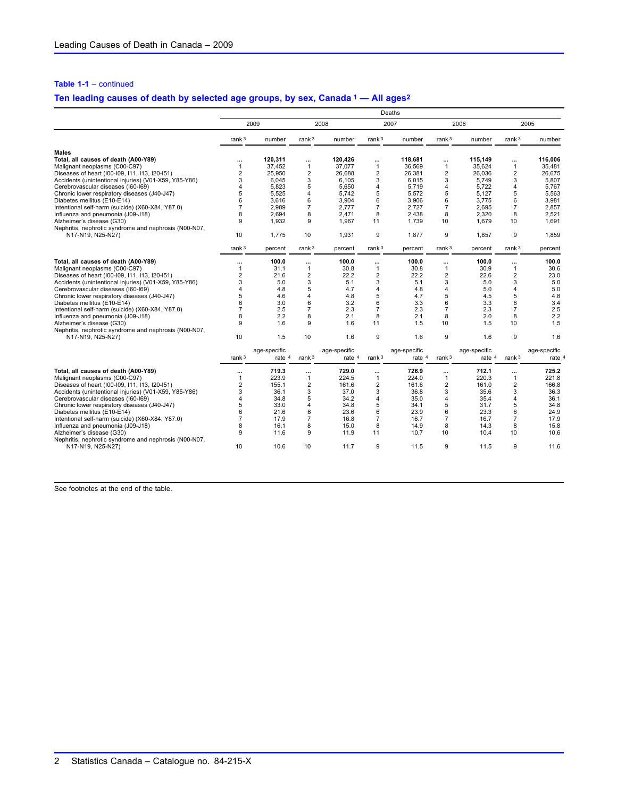### **Table 1-1** – continued

## **Ten leading causes of death by selected age groups, by sex, Canada 1 — All ages2**

|                                                       | Deaths                  |              |                |              |                         |              |                 |              |                         |              |
|-------------------------------------------------------|-------------------------|--------------|----------------|--------------|-------------------------|--------------|-----------------|--------------|-------------------------|--------------|
|                                                       | 2009                    |              | 2008           |              | 2007                    |              | 2006            |              |                         | 2005         |
|                                                       | rank $3$                | number       | rank $3$       | number       | rank $3$                | number       | rank $3$        | number       | rank <sup>3</sup>       | number       |
| <b>Males</b>                                          |                         |              |                |              |                         |              |                 |              |                         |              |
| Total, all causes of death (A00-Y89)                  | $\cdots$                | 120.311      |                | 120.426      | $\cdots$                | 118.681      |                 | 115.149      |                         | 116.006      |
| Malignant neoplasms (C00-C97)                         | $\mathbf{1}$            | 37.452       | $\mathbf{1}$   | 37.077       | 1                       | 36.569       | $\mathbf{1}$    | 35.624       | $\mathbf{1}$            | 35.481       |
| Diseases of heart (100-109, 111, 113, 120-151)        | $\overline{2}$          | 25.950       | $\overline{2}$ | 26.688       | $\overline{2}$          | 26.381       | $\overline{2}$  | 26.036       | $\overline{2}$          | 26.675       |
| Accidents (unintentional injuries) (V01-X59, Y85-Y86) | 3                       | 6.045        | 3              | 6.105        | 3                       | 6.015        | 3               | 5.749        | 3                       | 5.807        |
| Cerebrovascular diseases (I60-I69)                    | 4                       | 5.823        | 5              | 5.650        | $\overline{4}$          | 5.719        | 4               | 5,722        | $\overline{4}$          | 5.767        |
| Chronic lower respiratory diseases (J40-J47)          | 5                       | 5.525        | 4              | 5.742        | 5                       | 5.572        | 5               | 5.127        | 5                       | 5.563        |
| Diabetes mellitus (E10-E14)                           | 6                       | 3,616        | 6              | 3,904        | 6                       | 3,906        | 6               | 3,775        | 6                       | 3,981        |
| Intentional self-harm (suicide) (X60-X84, Y87.0)      | 7                       | 2.989        | $\overline{7}$ | 2.777        | $\overline{7}$          | 2.727        | $\overline{7}$  | 2.695        | $\overline{7}$          | 2.857        |
| Influenza and pneumonia (J09-J18)                     | 8                       | 2.694        | 8              | 2.471        | 8                       | 2.438        | 8               | 2.320        | 8                       | 2.521        |
| Alzheimer's disease (G30)                             | 9                       | 1.932        | 9              | 1.967        | 11                      | 1.739        | 10 <sup>1</sup> | 1.679        | 10                      | 1.691        |
| Nephritis, nephrotic syndrome and nephrosis (N00-N07, |                         |              |                |              |                         |              |                 |              |                         |              |
| N17-N19, N25-N27)                                     | 10                      | 1.775        | 10             | 1.931        | 9                       | 1.877        | 9               | 1.857        | 9                       | 1,859        |
|                                                       | rank <sup>3</sup>       | percent      | rank $3$       | percent      | rank $3$                | percent      | rank $3$        | percent      | rank <sup>3</sup>       | percent      |
| Total, all causes of death (A00-Y89)                  | $\ddotsc$               | 100.0        | $\cdots$       | 100.0        | $\cdots$                | 100.0        | $\cdots$        | 100.0        |                         | 100.0        |
| Malignant neoplasms (C00-C97)                         | 1                       | 31.1         | 1              | 30.8         | 1                       | 30.8         | $\mathbf{1}$    | 30.9         | $\mathbf{1}$            | 30.6         |
| Diseases of heart (100-109, 111, 113, 120-151)        | $\overline{2}$          | 21.6         | $\overline{2}$ | 22.2         | $\overline{2}$          | 22.2         | $\overline{2}$  | 22.6         | $\overline{2}$          | 23.0         |
| Accidents (unintentional injuries) (V01-X59, Y85-Y86) | 3                       | 5.0          | 3              | 5.1          | 3                       | 5.1          | 3               | 5.0          | 3                       | 5.0          |
| Cerebrovascular diseases (160-169)                    | 4                       | 4.8          | 5              | 4.7          | 4                       | 4.8          | 4               | 5.0          | 4                       | 5.0          |
| Chronic lower respiratory diseases (J40-J47)          | 5                       | 4.6          | $\overline{4}$ | 4.8          | 5                       | 4.7          | 5               | 4.5          | 5                       | 4.8          |
| Diabetes mellitus (E10-E14)                           | 6                       | 3.0          | 6              | 3.2          | 6                       | 3.3          | 6               | 3.3          | 6                       | 3.4          |
| Intentional self-harm (suicide) (X60-X84, Y87.0)      | $\overline{7}$          | 2.5          | $\overline{7}$ | 2.3          | $\overline{7}$          | 2.3          | $\overline{7}$  | 2.3          | $\overline{7}$          | 2.5          |
| Influenza and pneumonia (J09-J18)                     | 8                       | 2.2          | 8              | 2.1          | 8                       | 2.1          | 8               | 2.0          | 8                       | 2.2          |
| Alzheimer's disease (G30)                             | 9                       | 1.6          | 9              | 1.6          | 11                      | 1.5          | 10 <sup>1</sup> | 1.5          | 10                      | 1.5          |
| Nephritis, nephrotic syndrome and nephrosis (N00-N07, |                         |              |                |              |                         |              |                 |              |                         |              |
| N17-N19, N25-N27)                                     | 10                      | 1.5          | 10             | 1.6          | 9                       | 1.6          | 9               | 1.6          | 9                       | 1.6          |
|                                                       |                         | age-specific |                | age-specific |                         | age-specific |                 | age-specific |                         | age-specific |
|                                                       | rank $3$                | rate 4       | rank $3$       | rate 4       | rank $3$                | rate 4       | rank $3$        | rate 4       | rank <sup>3</sup>       | rate 4       |
| Total, all causes of death (A00-Y89)                  |                         | 719.3        | $\cdots$       | 729.0        | $\ddotsc$               | 726.9        | $\ddotsc$       | 712.1        | $\ddotsc$               | 725.2        |
| Malignant neoplasms (C00-C97)                         | $\mathbf{1}$            | 223.9        | $\mathbf{1}$   | 224.5        | $\mathbf{1}$            | 224.0        | $\mathbf{1}$    | 220.3        | $\mathbf{1}$            | 221.8        |
| Diseases of heart (100-109, 111, 113, 120-151)        | $\overline{\mathbf{c}}$ | 155.1        | $\overline{2}$ | 161.6        | $\overline{2}$          | 161.6        | $\overline{2}$  | 161.0        | $\overline{\mathbf{c}}$ | 166.8        |
| Accidents (unintentional injuries) (V01-X59, Y85-Y86) | 3                       | 36.1         | 3              | 37.0         | 3                       | 36.8         | 3               | 35.6         | 3                       | 36.3         |
| Cerebrovascular diseases (I60-I69)                    | 4                       | 34.8         | 5              | 34.2         | $\overline{\mathbf{4}}$ | 35.0         | 4               | 35.4         | 4                       | 36.1         |
| Chronic lower respiratory diseases (J40-J47)          | 5                       | 33.0         | $\overline{4}$ | 34.8         | 5                       | 34.1         | 5               | 31.7         | 5                       | 34.8         |
| Diabetes mellitus (E10-E14)                           | 6                       | 21.6         | 6              | 23.6         | 6                       | 23.9         | 6               | 23.3         | 6                       | 24.9         |
| Intentional self-harm (suicide) (X60-X84, Y87.0)      | $\overline{7}$          | 17.9         | $\overline{7}$ | 16.8         | $\overline{7}$          | 16.7         | $\overline{7}$  | 16.7         | $\overline{7}$          | 17.9         |
| Influenza and pneumonia (J09-J18)                     | 8                       | 16.1         | 8              | 15.0         | 8                       | 14.9         | 8               | 14.3         | 8                       | 15.8         |
| Alzheimer's disease (G30)                             | 9                       | 11.6         | 9              | 11.9         | 11                      | 10.7         | 10 <sup>1</sup> | 10.4         | 10                      | 10.6         |
| Nephritis, nephrotic syndrome and nephrosis (N00-N07, |                         |              |                |              |                         |              |                 |              |                         |              |
| N17-N19, N25-N27)                                     | 10                      | 10.6         | 10             | 11.7         | 9                       | 11.5         | 9               | 11.5         | 9                       | 11.6         |
|                                                       |                         |              |                |              |                         |              |                 |              |                         |              |

See footnotes at the end of the table.